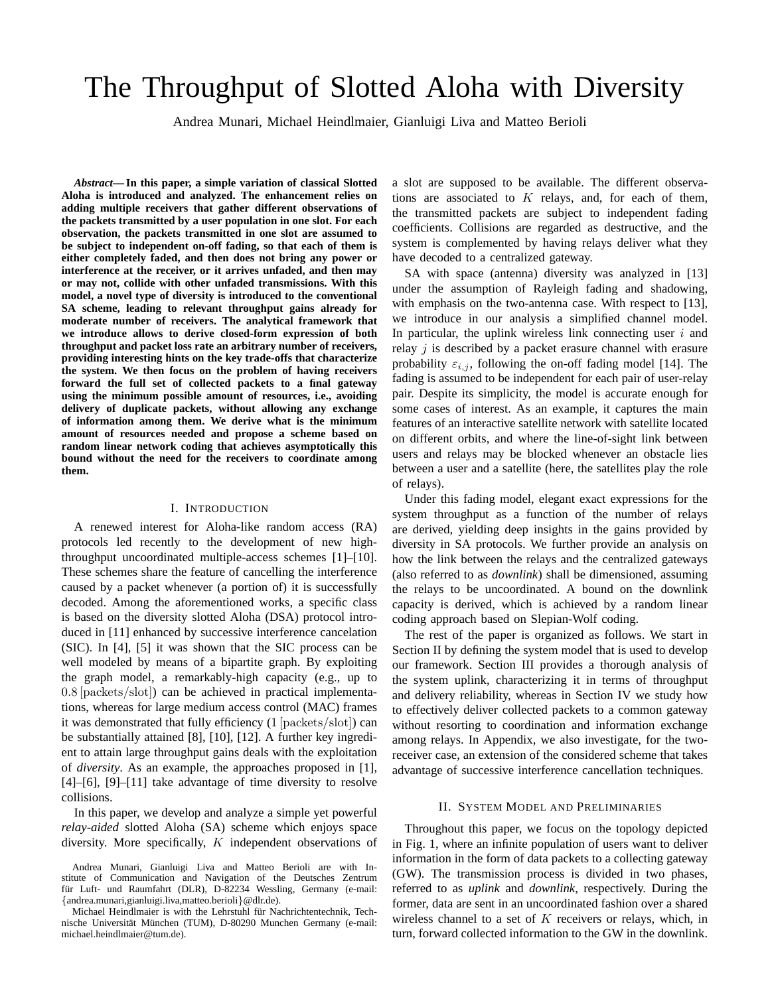# The Throughput of Slotted Aloha with Diversity

Andrea Munari, Michael Heindlmaier, Gianluigi Liva and Matteo Berioli

*Abstract***— In this paper, a simple variation of classical Slotted Aloha is introduced and analyzed. The enhancement relies on adding multiple receivers that gather different observations of the packets transmitted by a user population in one slot. For each observation, the packets transmitted in one slot are assumed to be subject to independent on-off fading, so that each of them is either completely faded, and then does not bring any power or interference at the receiver, or it arrives unfaded, and then may or may not, collide with other unfaded transmissions. With this model, a novel type of diversity is introduced to the conventional SA scheme, leading to relevant throughput gains already for moderate number of receivers. The analytical framework that we introduce allows to derive closed-form expression of both throughput and packet loss rate an arbitrary number of receivers, providing interesting hints on the key trade-offs that characterize the system. We then focus on the problem of having receivers forward the full set of collected packets to a final gateway using the minimum possible amount of resources, i.e., avoiding delivery of duplicate packets, without allowing any exchange of information among them. We derive what is the minimum amount of resources needed and propose a scheme based on random linear network coding that achieves asymptotically this bound without the need for the receivers to coordinate among them.**

## I. INTRODUCTION

A renewed interest for Aloha-like random access (RA) protocols led recently to the development of new highthroughput uncoordinated multiple-access schemes [1]–[10]. These schemes share the feature of cancelling the interference caused by a packet whenever (a portion of) it is successfully decoded. Among the aforementioned works, a specific class is based on the diversity slotted Aloha (DSA) protocol introduced in [11] enhanced by successive interference cancelation (SIC). In [4], [5] it was shown that the SIC process can be well modeled by means of a bipartite graph. By exploiting the graph model, a remarkably-high capacity (e.g., up to 0.8 [packets/slot]) can be achieved in practical implementations, whereas for large medium access control (MAC) frames it was demonstrated that fully efficiency (1 [packets/slot]) can be substantially attained [8], [10], [12]. A further key ingredient to attain large throughput gains deals with the exploitation of *diversity*. As an example, the approaches proposed in [1], [4]–[6], [9]–[11] take advantage of time diversity to resolve collisions.

In this paper, we develop and analyze a simple yet powerful *relay-aided* slotted Aloha (SA) scheme which enjoys space diversity. More specifically,  $K$  independent observations of a slot are supposed to be available. The different observations are associated to  $K$  relays, and, for each of them, the transmitted packets are subject to independent fading coefficients. Collisions are regarded as destructive, and the system is complemented by having relays deliver what they have decoded to a centralized gateway.

SA with space (antenna) diversity was analyzed in [13] under the assumption of Rayleigh fading and shadowing, with emphasis on the two-antenna case. With respect to [13], we introduce in our analysis a simplified channel model. In particular, the uplink wireless link connecting user  $i$  and relay  $j$  is described by a packet erasure channel with erasure probability  $\varepsilon_{i,j}$ , following the on-off fading model [14]. The fading is assumed to be independent for each pair of user-relay pair. Despite its simplicity, the model is accurate enough for some cases of interest. As an example, it captures the main features of an interactive satellite network with satellite located on different orbits, and where the line-of-sight link between users and relays may be blocked whenever an obstacle lies between a user and a satellite (here, the satellites play the role of relays).

Under this fading model, elegant exact expressions for the system throughput as a function of the number of relays are derived, yielding deep insights in the gains provided by diversity in SA protocols. We further provide an analysis on how the link between the relays and the centralized gateways (also referred to as *downlink*) shall be dimensioned, assuming the relays to be uncoordinated. A bound on the downlink capacity is derived, which is achieved by a random linear coding approach based on Slepian-Wolf coding.

The rest of the paper is organized as follows. We start in Section II by defining the system model that is used to develop our framework. Section III provides a thorough analysis of the system uplink, characterizing it in terms of throughput and delivery reliability, whereas in Section IV we study how to effectively deliver collected packets to a common gateway without resorting to coordination and information exchange among relays. In Appendix, we also investigate, for the tworeceiver case, an extension of the considered scheme that takes advantage of successive interference cancellation techniques.

#### II. SYSTEM MODEL AND PRELIMINARIES

Throughout this paper, we focus on the topology depicted in Fig. 1, where an infinite population of users want to deliver information in the form of data packets to a collecting gateway (GW). The transmission process is divided in two phases, referred to as *uplink* and *downlink*, respectively. During the former, data are sent in an uncoordinated fashion over a shared wireless channel to a set of  $K$  receivers or relays, which, in turn, forward collected information to the GW in the downlink.

Andrea Munari, Gianluigi Liva and Matteo Berioli are with Institute of Communication and Navigation of the Deutsches Zentrum für Luft- und Raumfahrt (DLR), D-82234 Wessling, Germany (e-mail: {andrea.munari,gianluigi.liva,matteo.berioli}@dlr.de).

Michael Heindlmaier is with the Lehrstuhl für Nachrichtentechnik, Technische Universität München (TUM), D-80290 Munchen Germany (e-mail: michael.heindlmaier@tum.de).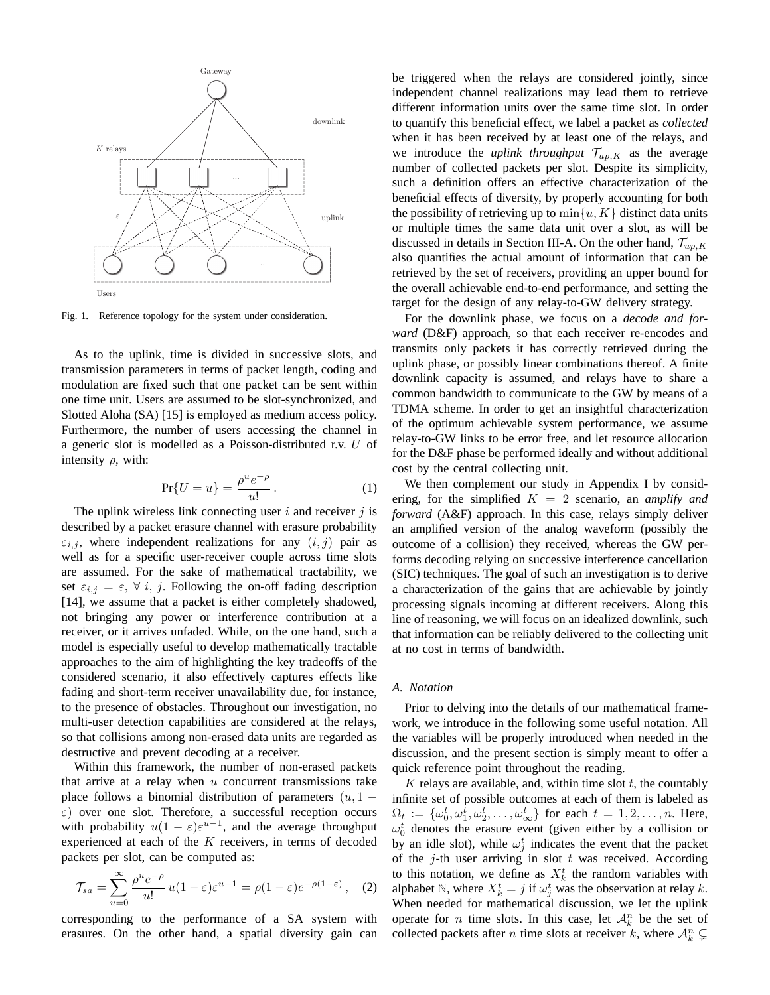

Fig. 1. Reference topology for the system under consideration.

As to the uplink, time is divided in successive slots, and transmission parameters in terms of packet length, coding and modulation are fixed such that one packet can be sent within one time unit. Users are assumed to be slot-synchronized, and Slotted Aloha (SA) [15] is employed as medium access policy. Furthermore, the number of users accessing the channel in a generic slot is modelled as a Poisson-distributed r.v. U of intensity  $\rho$ , with:

$$
\Pr\{U = u\} = \frac{\rho^u e^{-\rho}}{u!} \,. \tag{1}
$$

The uplink wireless link connecting user  $i$  and receiver  $j$  is described by a packet erasure channel with erasure probability  $\varepsilon_{i,j}$ , where independent realizations for any  $(i, j)$  pair as well as for a specific user-receiver couple across time slots are assumed. For the sake of mathematical tractability, we set  $\varepsilon_{i,j} = \varepsilon$ ,  $\forall i, j$ . Following the on-off fading description [14], we assume that a packet is either completely shadowed, not bringing any power or interference contribution at a receiver, or it arrives unfaded. While, on the one hand, such a model is especially useful to develop mathematically tractable approaches to the aim of highlighting the key tradeoffs of the considered scenario, it also effectively captures effects like fading and short-term receiver unavailability due, for instance, to the presence of obstacles. Throughout our investigation, no multi-user detection capabilities are considered at the relays, so that collisions among non-erased data units are regarded as destructive and prevent decoding at a receiver.

Within this framework, the number of non-erased packets that arrive at a relay when  $u$  concurrent transmissions take place follows a binomial distribution of parameters  $(u, 1 \varepsilon$ ) over one slot. Therefore, a successful reception occurs with probability  $u(1 - \varepsilon) \varepsilon^{u-1}$ , and the average throughput experienced at each of the  $K$  receivers, in terms of decoded packets per slot, can be computed as:

$$
\mathcal{T}_{sa} = \sum_{u=0}^{\infty} \frac{\rho^u e^{-\rho}}{u!} u(1-\varepsilon) \varepsilon^{u-1} = \rho (1-\varepsilon) e^{-\rho (1-\varepsilon)}, \quad (2)
$$

corresponding to the performance of a SA system with erasures. On the other hand, a spatial diversity gain can be triggered when the relays are considered jointly, since independent channel realizations may lead them to retrieve different information units over the same time slot. In order to quantify this beneficial effect, we label a packet as *collected* when it has been received by at least one of the relays, and we introduce the *uplink throughput*  $\mathcal{T}_{up,K}$  as the average number of collected packets per slot. Despite its simplicity, such a definition offers an effective characterization of the beneficial effects of diversity, by properly accounting for both the possibility of retrieving up to  $\min\{u, K\}$  distinct data units or multiple times the same data unit over a slot, as will be discussed in details in Section III-A. On the other hand,  $\mathcal{T}_{up,K}$ also quantifies the actual amount of information that can be retrieved by the set of receivers, providing an upper bound for the overall achievable end-to-end performance, and setting the target for the design of any relay-to-GW delivery strategy.

For the downlink phase, we focus on a *decode and forward* (D&F) approach, so that each receiver re-encodes and transmits only packets it has correctly retrieved during the uplink phase, or possibly linear combinations thereof. A finite downlink capacity is assumed, and relays have to share a common bandwidth to communicate to the GW by means of a TDMA scheme. In order to get an insightful characterization of the optimum achievable system performance, we assume relay-to-GW links to be error free, and let resource allocation for the D&F phase be performed ideally and without additional cost by the central collecting unit.

We then complement our study in Appendix I by considering, for the simplified  $K = 2$  scenario, an *amplify and forward* (A&F) approach. In this case, relays simply deliver an amplified version of the analog waveform (possibly the outcome of a collision) they received, whereas the GW performs decoding relying on successive interference cancellation (SIC) techniques. The goal of such an investigation is to derive a characterization of the gains that are achievable by jointly processing signals incoming at different receivers. Along this line of reasoning, we will focus on an idealized downlink, such that information can be reliably delivered to the collecting unit at no cost in terms of bandwidth.

# *A. Notation*

Prior to delving into the details of our mathematical framework, we introduce in the following some useful notation. All the variables will be properly introduced when needed in the discussion, and the present section is simply meant to offer a quick reference point throughout the reading.

 $K$  relays are available, and, within time slot  $t$ , the countably infinite set of possible outcomes at each of them is labeled as  $\Omega_t := \{\omega_0^t, \omega_1^t, \omega_2^t, \dots, \omega_\infty^t\}$  for each  $t = 1, 2, \dots, n$ . Here,  $\omega_0^t$  denotes the erasure event (given either by a collision or by an idle slot), while  $\omega_j^t$  indicates the event that the packet of the  $j$ -th user arriving in slot  $t$  was received. According to this notation, we define as  $X_k^t$  the random variables with alphabet N, where  $X_k^t = j$  if  $\omega_j^t$  was the observation at relay k. When needed for mathematical discussion, we let the uplink operate for *n* time slots. In this case, let  $A_k^n$  be the set of collected packets after *n* time slots at receiver *k*, where  $\mathcal{A}_k^n$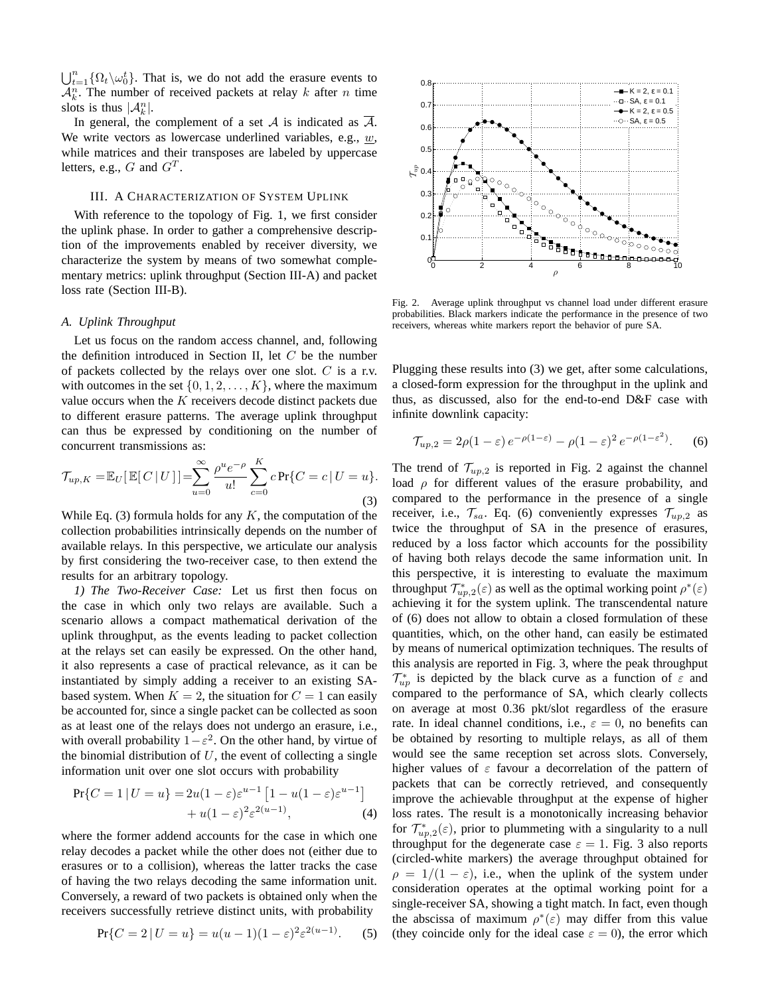$\bigcup_{t=1}^{n} {\Omega_t \backslash \omega_0^t}$ . That is, we do not add the erasure events to  $A_k^n$ . The number of received packets at relay k after n time slots is thus  $|\mathcal{A}_k^n|$ .

In general, the complement of a set A is indicated as  $\overline{A}$ . We write vectors as lowercase underlined variables, e.g.,  $w$ , while matrices and their transposes are labeled by uppercase letters, e.g.,  $G$  and  $G<sup>T</sup>$ .

# III. A CHARACTERIZATION OF SYSTEM UPLINK

With reference to the topology of Fig. 1, we first consider the uplink phase. In order to gather a comprehensive description of the improvements enabled by receiver diversity, we characterize the system by means of two somewhat complementary metrics: uplink throughput (Section III-A) and packet loss rate (Section III-B).

#### *A. Uplink Throughput*

Let us focus on the random access channel, and, following the definition introduced in Section II, let  $C$  be the number of packets collected by the relays over one slot.  $C$  is a r.v. with outcomes in the set  $\{0, 1, 2, \ldots, K\}$ , where the maximum value occurs when the K receivers decode distinct packets due to different erasure patterns. The average uplink throughput can thus be expressed by conditioning on the number of concurrent transmissions as:

$$
\mathcal{T}_{up,K} = \mathbb{E}_U[\mathbb{E}[C | U]] = \sum_{u=0}^{\infty} \frac{\rho^u e^{-\rho}}{u!} \sum_{c=0}^{K} c \Pr\{C = c | U = u\}.
$$
\n(3)

While Eq. (3) formula holds for any  $K$ , the computation of the collection probabilities intrinsically depends on the number of available relays. In this perspective, we articulate our analysis by first considering the two-receiver case, to then extend the results for an arbitrary topology.

*1) The Two-Receiver Case:* Let us first then focus on the case in which only two relays are available. Such a scenario allows a compact mathematical derivation of the uplink throughput, as the events leading to packet collection at the relays set can easily be expressed. On the other hand, it also represents a case of practical relevance, as it can be instantiated by simply adding a receiver to an existing SAbased system. When  $K = 2$ , the situation for  $C = 1$  can easily be accounted for, since a single packet can be collected as soon as at least one of the relays does not undergo an erasure, i.e., with overall probability  $1 - \varepsilon^2$ . On the other hand, by virtue of the binomial distribution of  $U$ , the event of collecting a single information unit over one slot occurs with probability

$$
\Pr\{C=1 | U=u\} = 2u(1-\varepsilon)\varepsilon^{u-1} \left[1-u(1-\varepsilon)\varepsilon^{u-1}\right] + u(1-\varepsilon)^2 \varepsilon^{2(u-1)},
$$
(4)

where the former addend accounts for the case in which one relay decodes a packet while the other does not (either due to erasures or to a collision), whereas the latter tracks the case of having the two relays decoding the same information unit. Conversely, a reward of two packets is obtained only when the receivers successfully retrieve distinct units, with probability

$$
Pr{C = 2 | U = u} = u(u - 1)(1 - \varepsilon)^{2} \varepsilon^{2(u - 1)}.
$$
 (5)



Fig. 2. Average uplink throughput vs channel load under different erasure probabilities. Black markers indicate the performance in the presence of two receivers, whereas white markers report the behavior of pure SA.

Plugging these results into (3) we get, after some calculations, a closed-form expression for the throughput in the uplink and thus, as discussed, also for the end-to-end D&F case with infinite downlink capacity:

$$
\mathcal{T}_{up,2} = 2\rho(1-\varepsilon) e^{-\rho(1-\varepsilon)} - \rho(1-\varepsilon)^2 e^{-\rho(1-\varepsilon^2)}.
$$
 (6)

The trend of  $\mathcal{T}_{up,2}$  is reported in Fig. 2 against the channel load  $\rho$  for different values of the erasure probability, and compared to the performance in the presence of a single receiver, i.e.,  $\mathcal{T}_{sa}$ . Eq. (6) conveniently expresses  $\mathcal{T}_{up,2}$  as twice the throughput of SA in the presence of erasures, reduced by a loss factor which accounts for the possibility of having both relays decode the same information unit. In this perspective, it is interesting to evaluate the maximum throughput  $\mathcal{T}_{up,2}^*(\varepsilon)$  as well as the optimal working point  $\rho^*(\varepsilon)$ achieving it for the system uplink. The transcendental nature of (6) does not allow to obtain a closed formulation of these quantities, which, on the other hand, can easily be estimated by means of numerical optimization techniques. The results of this analysis are reported in Fig. 3, where the peak throughput  $\mathcal{T}_{up}^*$  is depicted by the black curve as a function of  $\varepsilon$  and compared to the performance of SA, which clearly collects on average at most 0.36 pkt/slot regardless of the erasure rate. In ideal channel conditions, i.e.,  $\varepsilon = 0$ , no benefits can be obtained by resorting to multiple relays, as all of them would see the same reception set across slots. Conversely, higher values of  $\varepsilon$  favour a decorrelation of the pattern of packets that can be correctly retrieved, and consequently improve the achievable throughput at the expense of higher loss rates. The result is a monotonically increasing behavior for  $\mathcal{T}_{up,2}^{*}(\varepsilon)$ , prior to plummeting with a singularity to a null throughput for the degenerate case  $\varepsilon = 1$ . Fig. 3 also reports (circled-white markers) the average throughput obtained for  $\rho = 1/(1 - \varepsilon)$ , i.e., when the uplink of the system under consideration operates at the optimal working point for a single-receiver SA, showing a tight match. In fact, even though the abscissa of maximum  $\rho^*(\varepsilon)$  may differ from this value (they coincide only for the ideal case  $\varepsilon = 0$ ), the error which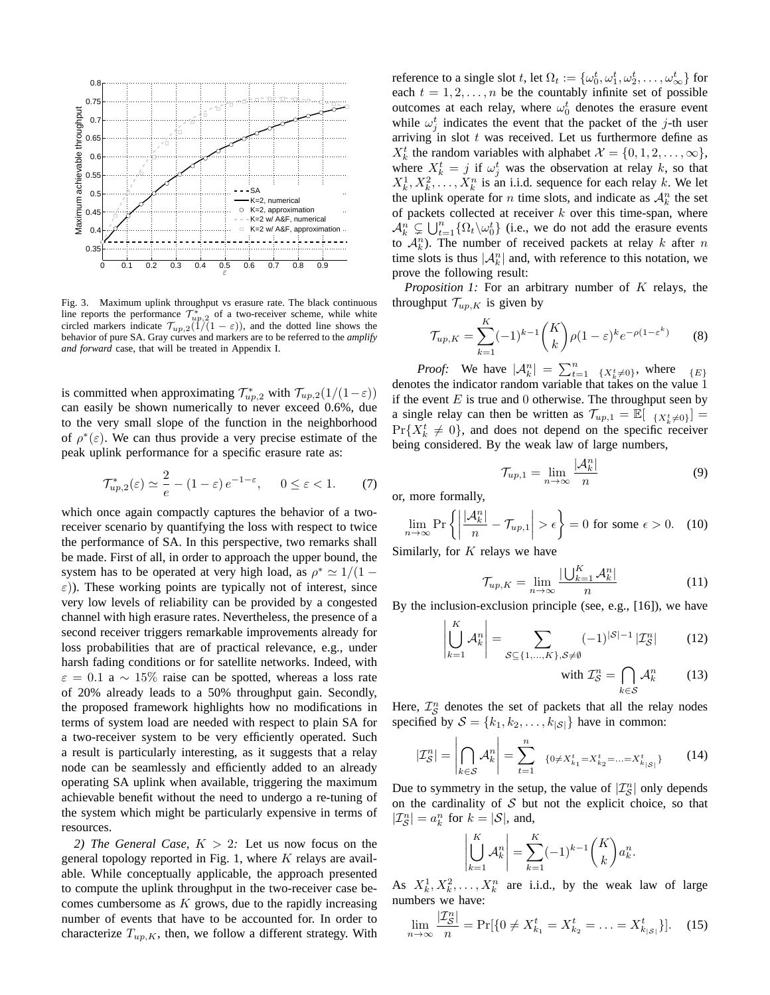

Fig. 3. Maximum uplink throughput vs erasure rate. The black continuous line reports the performance  $\mathcal{T}_{up,2}^*$  of a two-receiver scheme, while white circled markers indicate  $\mathcal{T}_{up,2}(1/(1-\varepsilon))$ , and the dotted line shows the behavior of pure SA. Gray curves and markers are to be referred to the *amplify and forward* case, that will be treated in Appendix I.

is committed when approximating  $\mathcal{T}_{up,2}^*$  with  $\mathcal{T}_{up,2}(1/(1-\varepsilon))$ can easily be shown numerically to never exceed 0.6%, due to the very small slope of the function in the neighborhood of  $\rho^*(\varepsilon)$ . We can thus provide a very precise estimate of the peak uplink performance for a specific erasure rate as:

$$
\mathcal{T}_{up,2}^*(\varepsilon) \simeq \frac{2}{e} - (1 - \varepsilon) e^{-1 - \varepsilon}, \quad 0 \le \varepsilon < 1. \tag{7}
$$

which once again compactly captures the behavior of a tworeceiver scenario by quantifying the loss with respect to twice the performance of SA. In this perspective, two remarks shall be made. First of all, in order to approach the upper bound, the system has to be operated at very high load, as  $\rho^* \simeq 1/(1 \varepsilon$ )). These working points are typically not of interest, since very low levels of reliability can be provided by a congested channel with high erasure rates. Nevertheless, the presence of a second receiver triggers remarkable improvements already for loss probabilities that are of practical relevance, e.g., under harsh fading conditions or for satellite networks. Indeed, with  $\varepsilon = 0.1$  a ~ 15% raise can be spotted, whereas a loss rate of 20% already leads to a 50% throughput gain. Secondly, the proposed framework highlights how no modifications in terms of system load are needed with respect to plain SA for a two-receiver system to be very efficiently operated. Such a result is particularly interesting, as it suggests that a relay node can be seamlessly and efficiently added to an already operating SA uplink when available, triggering the maximum achievable benefit without the need to undergo a re-tuning of the system which might be particularly expensive in terms of resources.

*2) The General Case,*  $K > 2$ : Let us now focus on the general topology reported in Fig. 1, where  $K$  relays are available. While conceptually applicable, the approach presented to compute the uplink throughput in the two-receiver case becomes cumbersome as  $K$  grows, due to the rapidly increasing number of events that have to be accounted for. In order to characterize  $T_{un,K}$ , then, we follow a different strategy. With

reference to a single slot t, let  $\Omega_t := \{\omega_0^t, \omega_1^t, \omega_2^t, \dots, \omega_\infty^t\}$  for each  $t = 1, 2, \dots, n$  be the countably infinite set of possible outcomes at each relay, where  $\omega_0^t$  denotes the erasure event while  $\omega_j^t$  indicates the event that the packet of the j-th user arriving in slot  $t$  was received. Let us furthermore define as  $X_k^t$  the random variables with alphabet  $\mathcal{X} = \{0, 1, 2, \dots, \infty\},$ where  $X_k^t = j$  if  $\omega_j^t$  was the observation at relay k, so that  $X_k^1, X_k^2, \ldots, X_k^n$  is an i.i.d. sequence for each relay k. We let the uplink operate for *n* time slots, and indicate as  $A_k^n$  the set of packets collected at receiver  $k$  over this time-span, where  $A_k^n \subsetneq \bigcup_{t=1}^n {\Omega_t \backslash \omega_0^t}$  (i.e., we do not add the erasure events to  $\mathcal{A}_k^n$ ). The number of received packets at relay k after n time slots is thus  $|\mathcal{A}_k^n|$  and, with reference to this notation, we prove the following result:

*Proposition 1:* For an arbitrary number of K relays, the throughput  $\mathcal{T}_{up,K}$  is given by

$$
\mathcal{T}_{up,K} = \sum_{k=1}^{K} (-1)^{k-1} \binom{K}{k} \rho (1 - \varepsilon)^k e^{-\rho (1 - \varepsilon^k)} \tag{8}
$$

*Proof:* We have  $|\mathcal{A}_k^n| = \sum_{t=1}^n \{X_k^t \neq 0\}$ , where  $\{E\}$ denotes the indicator random variable that takes on the value 1 if the event  $E$  is true and 0 otherwise. The throughput seen by a single relay can then be written as  $\mathcal{T}_{up,1} = \mathbb{E}[\begin{array}{c} \{X_k^t \neq 0\} \end{array}]$  $Pr{X_k^t \neq 0}$ , and does not depend on the specific receiver being considered. By the weak law of large numbers,

$$
\mathcal{T}_{up,1} = \lim_{n \to \infty} \frac{|\mathcal{A}_k^n|}{n} \tag{9}
$$

or, more formally,

$$
\lim_{n \to \infty} \Pr\left\{ \left| \frac{|\mathcal{A}_k^n|}{n} - \mathcal{T}_{up,1} \right| > \epsilon \right\} = 0 \text{ for some } \epsilon > 0. \quad (10)
$$

Similarly, for  $K$  relays we have

$$
\mathcal{T}_{up,K} = \lim_{n \to \infty} \frac{|\bigcup_{k=1}^{K} \mathcal{A}_k^n|}{n}
$$
 (11)

By the inclusion-exclusion principle (see, e.g., [16]), we have

$$
\left| \bigcup_{k=1}^{K} \mathcal{A}_{k}^{n} \right| = \sum_{\mathcal{S} \subseteq \{1, \dots, K\}, \mathcal{S} \neq \emptyset} (-1)^{|\mathcal{S}|-1} |\mathcal{I}_{\mathcal{S}}^{n}| \tag{12}
$$

with 
$$
\mathcal{I}_{\mathcal{S}}^n = \bigcap_{k \in \mathcal{S}} \mathcal{A}_k^n
$$
 (13)

Here,  $\mathcal{I}_{\mathcal{S}}^n$  denotes the set of packets that all the relay nodes specified by  $S = \{k_1, k_2, \ldots, k_{|S|}\}\$  have in common:

$$
|\mathcal{I}_{\mathcal{S}}^n| = \left| \bigcap_{k \in \mathcal{S}} \mathcal{A}_k^n \right| = \sum_{t=1}^n \{ 0 \neq X_{k_1}^t = X_{k_2}^t = \dots = X_{k_{|\mathcal{S}|}}^t \}
$$
(14)

Due to symmetry in the setup, the value of  $|\mathcal{I}_{\mathcal{S}}^n|$  only depends on the cardinality of  $S$  but not the explicit choice, so that  $|\mathcal{I}_{\mathcal{S}}^n| = a_k^n$  for  $k = |\mathcal{S}|$ , and,

$$
\left|\bigcup_{k=1}^K \mathcal{A}_k^n\right| = \sum_{k=1}^K (-1)^{k-1} {K \choose k} a_k^n.
$$

As  $X_k^1, X_k^2, \ldots, X_k^n$  are i.i.d., by the weak law of large numbers we have:

$$
\lim_{n \to \infty} \frac{|\mathcal{I}_\mathcal{S}^n|}{n} = \Pr[\{0 \neq X_{k_1}^t = X_{k_2}^t = \ldots = X_{k_{|\mathcal{S}|}}^t\}]. \quad (15)
$$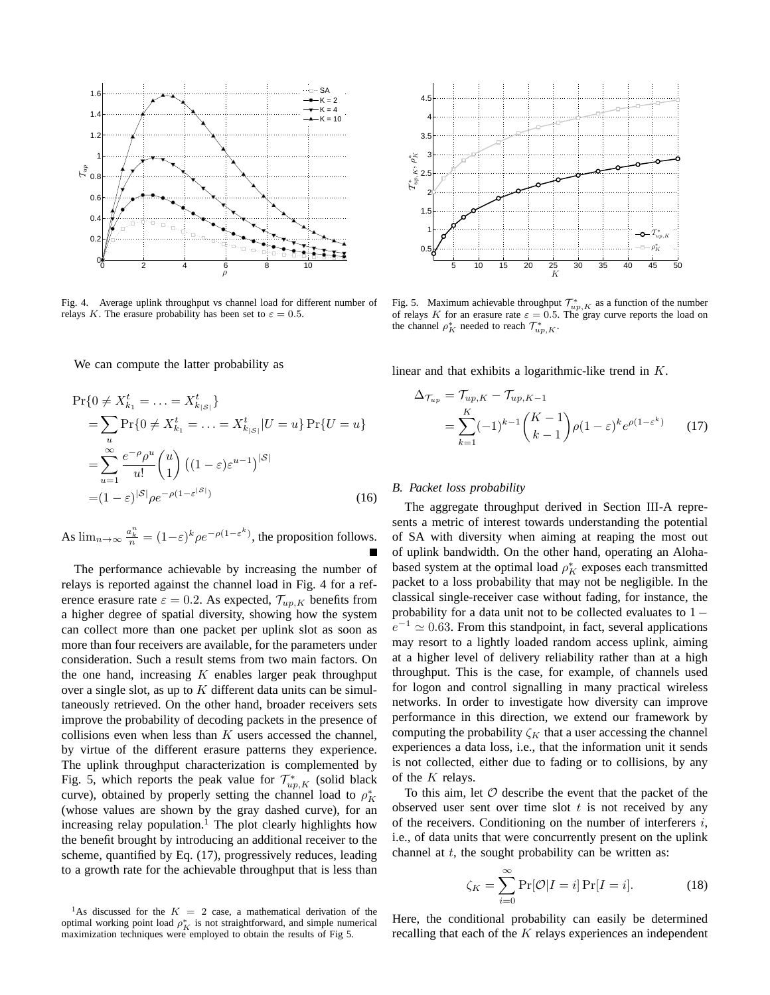

Fig. 4. Average uplink throughput vs channel load for different number of relays K. The erasure probability has been set to  $\varepsilon = 0.5$ .

We can compute the latter probability as

$$
\Pr\{0 \neq X_{k_1}^t = \dots = X_{k_{|S|}}^t\} \\
= \sum_{u} \Pr\{0 \neq X_{k_1}^t = \dots = X_{k_{|S|}}^t | U = u\} \Pr\{U = u\} \\
= \sum_{u=1}^{\infty} \frac{e^{-\rho} \rho^u}{u!} {u \choose 1} ((1 - \varepsilon) \varepsilon^{u-1})^{|S|} \\
= (1 - \varepsilon)^{|S|} \rho e^{-\rho(1 - \varepsilon^{|S|})}
$$
\n(16)

As  $\lim_{n\to\infty} \frac{a_k^n}{n} = (1-\varepsilon)^k \rho e^{-\rho(1-\varepsilon^k)}$ , the proposition follows.

The performance achievable by increasing the number of relays is reported against the channel load in Fig. 4 for a reference erasure rate  $\varepsilon = 0.2$ . As expected,  $\mathcal{T}_{up,K}$  benefits from a higher degree of spatial diversity, showing how the system can collect more than one packet per uplink slot as soon as more than four receivers are available, for the parameters under consideration. Such a result stems from two main factors. On the one hand, increasing  $K$  enables larger peak throughput over a single slot, as up to  $K$  different data units can be simultaneously retrieved. On the other hand, broader receivers sets improve the probability of decoding packets in the presence of collisions even when less than  $K$  users accessed the channel, by virtue of the different erasure patterns they experience. The uplink throughput characterization is complemented by Fig. 5, which reports the peak value for  $\mathcal{T}_{up,K}^*$  (solid black curve), obtained by properly setting the channel load to  $\rho_K^*$ (whose values are shown by the gray dashed curve), for an increasing relay population.<sup>1</sup> The plot clearly highlights how the benefit brought by introducing an additional receiver to the scheme, quantified by Eq. (17), progressively reduces, leading to a growth rate for the achievable throughput that is less than



Fig. 5. Maximum achievable throughput  $\mathcal{T}_{up,K}^*$  as a function of the number of relays K for an erasure rate  $\varepsilon = 0.5$ . The gray curve reports the load on the channel  $\rho_K^*$  needed to reach  $\mathcal{T}_{up,K}^*$ .

linear and that exhibits a logarithmic-like trend in K.

$$
\Delta_{\mathcal{T}_{up}} = \mathcal{T}_{up,K} - \mathcal{T}_{up,K-1}
$$
  
= 
$$
\sum_{k=1}^{K} (-1)^{k-1} {K-1 \choose k-1} \rho (1-\varepsilon)^k e^{\rho (1-\varepsilon^k)} \qquad (17)
$$

#### *B. Packet loss probability*

The aggregate throughput derived in Section III-A represents a metric of interest towards understanding the potential of SA with diversity when aiming at reaping the most out of uplink bandwidth. On the other hand, operating an Alohabased system at the optimal load  $\rho_K^*$  exposes each transmitted packet to a loss probability that may not be negligible. In the classical single-receiver case without fading, for instance, the probability for a data unit not to be collected evaluates to 1 −  $e^{-1} \simeq 0.63$ . From this standpoint, in fact, several applications may resort to a lightly loaded random access uplink, aiming at a higher level of delivery reliability rather than at a high throughput. This is the case, for example, of channels used for logon and control signalling in many practical wireless networks. In order to investigate how diversity can improve performance in this direction, we extend our framework by computing the probability  $\zeta_K$  that a user accessing the channel experiences a data loss, i.e., that the information unit it sends is not collected, either due to fading or to collisions, by any of the K relays.

To this aim, let  $\mathcal O$  describe the event that the packet of the observed user sent over time slot  $t$  is not received by any of the receivers. Conditioning on the number of interferers  $i$ , i.e., of data units that were concurrently present on the uplink channel at  $t$ , the sought probability can be written as:

$$
\zeta_K = \sum_{i=0}^{\infty} \Pr[\mathcal{O}|I=i] \Pr[I=i]. \tag{18}
$$

Here, the conditional probability can easily be determined recalling that each of the  $K$  relays experiences an independent

<sup>&</sup>lt;sup>1</sup>As discussed for the  $K = 2$  case, a mathematical derivation of the optimal working point load  $\rho_K^*$  is not straightforward, and simple numerical maximization techniques were employed to obtain the results of Fig 5.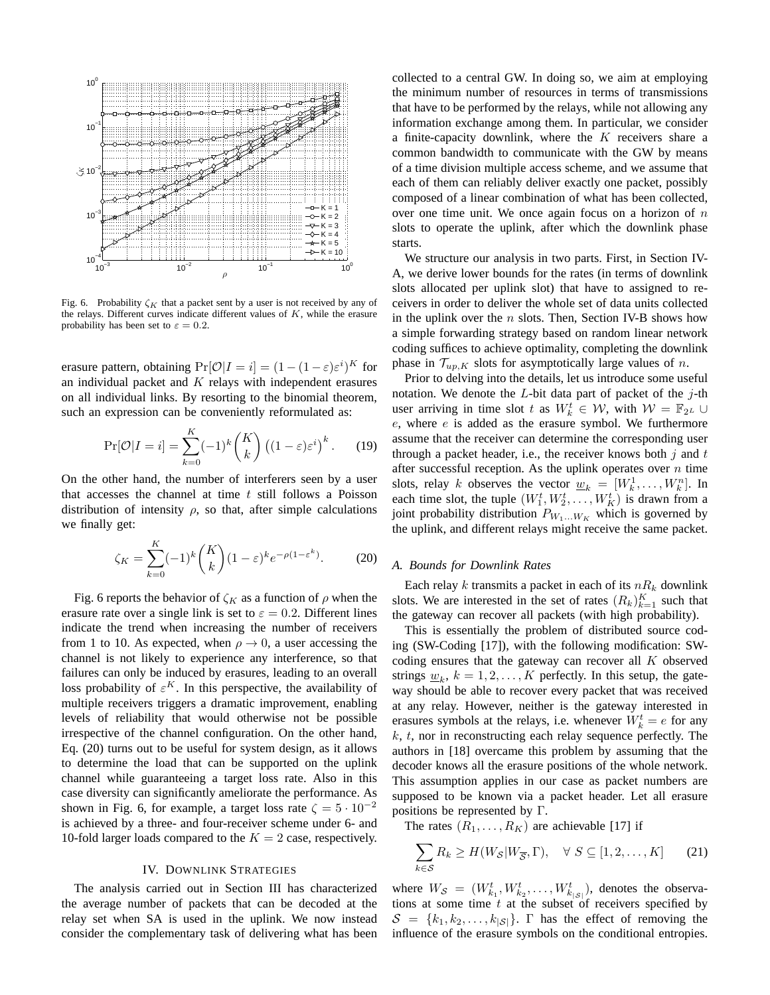

Fig. 6. Probability  $\zeta_K$  that a packet sent by a user is not received by any of the relays. Different curves indicate different values of  $K$ , while the erasure probability has been set to  $\varepsilon = 0.2$ .

erasure pattern, obtaining  $Pr[\mathcal{O}|I=i] = (1 - (1 - \varepsilon)\varepsilon^i)^K$  for an individual packet and  $K$  relays with independent erasures on all individual links. By resorting to the binomial theorem, such an expression can be conveniently reformulated as:

$$
\Pr[\mathcal{O}|I=i] = \sum_{k=0}^{K} (-1)^k {K \choose k} \left( (1-\varepsilon)\varepsilon^i \right)^k. \tag{19}
$$

On the other hand, the number of interferers seen by a user that accesses the channel at time  $t$  still follows a Poisson distribution of intensity  $\rho$ , so that, after simple calculations we finally get:

$$
\zeta_K = \sum_{k=0}^K (-1)^k {K \choose k} (1 - \varepsilon)^k e^{-\rho(1 - \varepsilon^k)}.
$$
 (20)

Fig. 6 reports the behavior of  $\zeta_K$  as a function of  $\rho$  when the erasure rate over a single link is set to  $\varepsilon = 0.2$ . Different lines indicate the trend when increasing the number of receivers from 1 to 10. As expected, when  $\rho \rightarrow 0$ , a user accessing the channel is not likely to experience any interference, so that failures can only be induced by erasures, leading to an overall loss probability of  $\varepsilon^K$ . In this perspective, the availability of multiple receivers triggers a dramatic improvement, enabling levels of reliability that would otherwise not be possible irrespective of the channel configuration. On the other hand, Eq. (20) turns out to be useful for system design, as it allows to determine the load that can be supported on the uplink channel while guaranteeing a target loss rate. Also in this case diversity can significantly ameliorate the performance. As shown in Fig. 6, for example, a target loss rate  $\zeta = 5 \cdot 10^{-2}$ is achieved by a three- and four-receiver scheme under 6- and 10-fold larger loads compared to the  $K = 2$  case, respectively.

## IV. DOWNLINK STRATEGIES

The analysis carried out in Section III has characterized the average number of packets that can be decoded at the relay set when SA is used in the uplink. We now instead consider the complementary task of delivering what has been collected to a central GW. In doing so, we aim at employing the minimum number of resources in terms of transmissions that have to be performed by the relays, while not allowing any information exchange among them. In particular, we consider a finite-capacity downlink, where the  $K$  receivers share a common bandwidth to communicate with the GW by means of a time division multiple access scheme, and we assume that each of them can reliably deliver exactly one packet, possibly composed of a linear combination of what has been collected, over one time unit. We once again focus on a horizon of  $n$ slots to operate the uplink, after which the downlink phase starts.

We structure our analysis in two parts. First, in Section IV-A, we derive lower bounds for the rates (in terms of downlink slots allocated per uplink slot) that have to assigned to receivers in order to deliver the whole set of data units collected in the uplink over the  $n$  slots. Then, Section IV-B shows how a simple forwarding strategy based on random linear network coding suffices to achieve optimality, completing the downlink phase in  $\mathcal{T}_{up,K}$  slots for asymptotically large values of n.

Prior to delving into the details, let us introduce some useful notation. We denote the  $L$ -bit data part of packet of the  $j$ -th user arriving in time slot t as  $W_k^t \in \mathcal{W}$ , with  $\mathcal{W} = \mathbb{F}_{2^L} \cup$  $e$ , where  $e$  is added as the erasure symbol. We furthermore assume that the receiver can determine the corresponding user through a packet header, i.e., the receiver knows both  $j$  and  $t$ after successful reception. As the uplink operates over  $n$  time slots, relay k observes the vector  $\underline{w}_k = [W_k^1, \dots, W_k^n]$ . In each time slot, the tuple  $(W_1^t, W_2^t, \ldots, W_K^t)$  is drawn from a joint probability distribution  $P_{W_1...W_K}$  which is governed by the uplink, and different relays might receive the same packet.

# *A. Bounds for Downlink Rates*

Each relay k transmits a packet in each of its  $nR_k$  downlink slots. We are interested in the set of rates  $(R_k)_{k=1}^K$  such that the gateway can recover all packets (with high probability).

This is essentially the problem of distributed source coding (SW-Coding [17]), with the following modification: SWcoding ensures that the gateway can recover all  $K$  observed strings  $\underline{w}_k$ ,  $k = 1, 2, ..., K$  perfectly. In this setup, the gateway should be able to recover every packet that was received at any relay. However, neither is the gateway interested in erasures symbols at the relays, i.e. whenever  $W_k^t = e$  for any  $k, t$ , nor in reconstructing each relay sequence perfectly. The authors in [18] overcame this problem by assuming that the decoder knows all the erasure positions of the whole network. This assumption applies in our case as packet numbers are supposed to be known via a packet header. Let all erasure positions be represented by  $\Gamma$ .

The rates  $(R_1, \ldots, R_K)$  are achievable [17] if

$$
\sum_{k \in S} R_k \ge H(W_S | W_{\overline{S}}, \Gamma), \quad \forall \ S \subseteq [1, 2, \dots, K]
$$
 (21)

where  $W_{\mathcal{S}} = (W_{k_1}^t, W_{k_2}^t, \dots, W_{k_{|\mathcal{S}|}}^t)$ , denotes the observations at some time  $t$  at the subset of receivers specified by  $S = \{k_1, k_2, \ldots, k_{|S|}\}.$  Γ has the effect of removing the influence of the erasure symbols on the conditional entropies.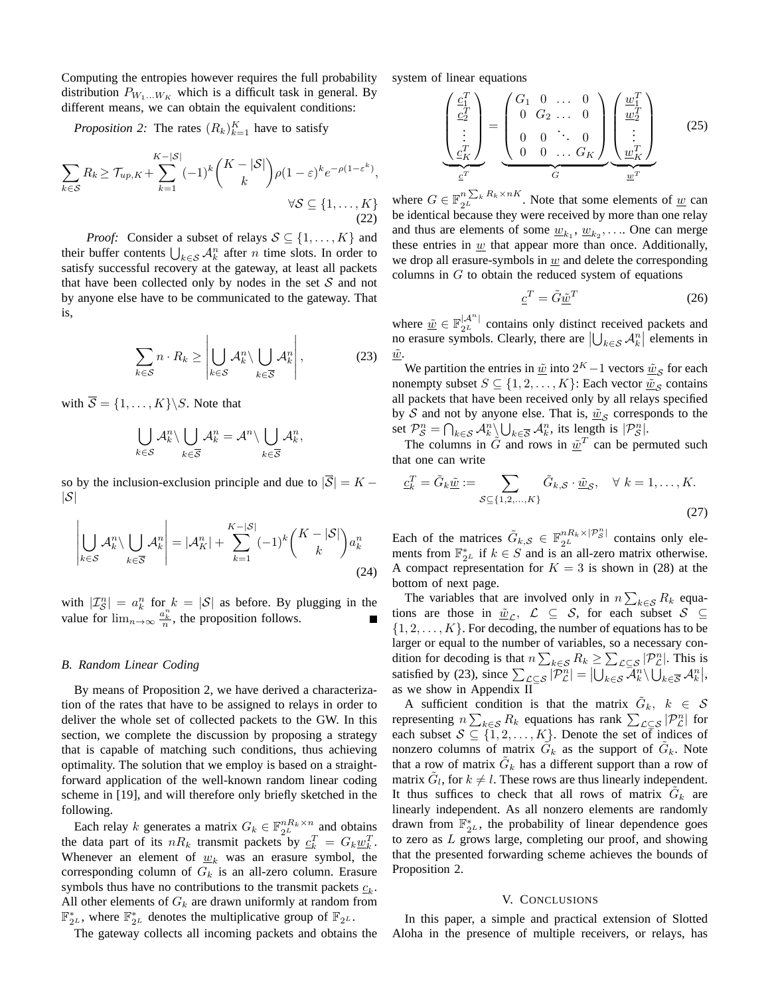Computing the entropies however requires the full probability distribution  $P_{W_1...W_K}$  which is a difficult task in general. By different means, we can obtain the equivalent conditions:

*Proposition 2:* The rates  $(R_k)_{k=1}^K$  have to satisfy

$$
\sum_{k \in \mathcal{S}} R_k \ge \mathcal{T}_{up,K} + \sum_{k=1}^{K - |\mathcal{S}|} (-1)^k {K - |\mathcal{S}| \choose k} \rho (1 - \varepsilon)^k e^{-\rho (1 - \varepsilon^k)},
$$
  

$$
\forall \mathcal{S} \subseteq \{1, ..., K\}
$$
  
(22)

*Proof:* Consider a subset of relays  $S \subseteq \{1, \ldots, K\}$  and their buffer contents  $\bigcup_{k \in \mathcal{S}} \mathcal{A}_k^n$  after *n* time slots. In order to satisfy successful recovery at the gateway, at least all packets that have been collected only by nodes in the set  $S$  and not by anyone else have to be communicated to the gateway. That is,

$$
\sum_{k\in S} n \cdot R_k \ge \left| \bigcup_{k\in S} \mathcal{A}_k^n \setminus \bigcup_{k\in \overline{S}} \mathcal{A}_k^n \right|,
$$
 (23)

with  $\overline{S} = \{1, \ldots, K\} \backslash S$ . Note that

$$
\bigcup_{k\in\mathcal{S}}\mathcal{A}_k^n\backslash\bigcup_{k\in\overline{\mathcal{S}}}\mathcal{A}_k^n=\mathcal{A}^n\backslash\bigcup_{k\in\overline{\mathcal{S}}}\mathcal{A}_k^n,
$$

so by the inclusion-exclusion principle and due to  $|\overline{S}| = K |\mathcal{S}|$ 

$$
\left| \bigcup_{k \in \mathcal{S}} \mathcal{A}_k^n \setminus \bigcup_{k \in \overline{\mathcal{S}}} \mathcal{A}_k^n \right| = |\mathcal{A}_K^n| + \sum_{k=1}^{K - |\mathcal{S}|} (-1)^k {K - |\mathcal{S}| \choose k} a_k^n
$$
\n(24)

with  $|\mathcal{I}_{\mathcal{S}}^n| = a_k^n$  for  $k = |\mathcal{S}|$  as before. By plugging in the value for  $\lim_{n\to\infty} \frac{a_k^n}{n}$ , the proposition follows.

# *B. Random Linear Coding*

By means of Proposition 2, we have derived a characterization of the rates that have to be assigned to relays in order to deliver the whole set of collected packets to the GW. In this section, we complete the discussion by proposing a strategy that is capable of matching such conditions, thus achieving optimality. The solution that we employ is based on a straightforward application of the well-known random linear coding scheme in [19], and will therefore only briefly sketched in the following.

Each relay k generates a matrix  $G_k \in \mathbb{F}_{2^L}^{nR_k \times n}$  and obtains the data part of its  $nR_k$  transmit packets by  $\underline{c}_k^T = G_k \underline{w}_k^T$ . Whenever an element of  $\underline{w}_k$  was an erasure symbol, the corresponding column of  $G_k$  is an all-zero column. Erasure symbols thus have no contributions to the transmit packets  $c_k$ . All other elements of  $G_k$  are drawn uniformly at random from  $\mathbb{F}_{2^L}^*$ , where  $\mathbb{F}_{2^L}^*$  denotes the multiplicative group of  $\mathbb{F}_{2^L}$ .

The gateway collects all incoming packets and obtains the

system of linear equations

$$
\underbrace{\begin{pmatrix} \underline{c}_1^T \\ \underline{c}_2^T \\ \vdots \\ \underline{c}_K^T \end{pmatrix}}_{\underline{c}_1^T} = \underbrace{\begin{pmatrix} G_1 & 0 & \dots & 0 \\ 0 & G_2 & \dots & 0 \\ 0 & 0 & \ddots & 0 \\ 0 & 0 & \dots & G_K \end{pmatrix}}_{\underline{G}} \underbrace{\begin{pmatrix} \underline{w}_1^T \\ \underline{w}_2^T \\ \vdots \\ \underline{w}_K^T \end{pmatrix}}_{\underline{w}_1^T} \tag{25}
$$

where  $G \in \mathbb{F}_{2^L}^{n \sum_k R_k \times nK}$ . Note that some elements of <u>w</u> can be identical because they were received by more than one relay and thus are elements of some  $\underline{w}_{k_1}$ ,  $\underline{w}_{k_2}$ , ... One can merge these entries in  $w$  that appear more than once. Additionally, we drop all erasure-symbols in  $w$  and delete the corresponding columns in  $G$  to obtain the reduced system of equations

$$
\underline{c}^T = \tilde{G}\underline{\tilde{w}}^T \tag{26}
$$

where  $\tilde{\underline{w}} \in \mathbb{F}_{2^L}^{|\mathcal{A}^n|}$  contains only distinct received packets and no erasure symbols. Clearly, there are  $\left|\bigcup_{k\in\mathcal{S}}\mathcal{A}_k^n\right|$  elements in  $\tilde{\underline{w}}$ .

We partition the entries in  $\underline{\tilde{w}}$  into  $2^K - 1$  vectors  $\underline{\tilde{w}}_{\mathcal{S}}$  for each nonempty subset  $S \subseteq \{1, 2, ..., K\}$ : Each vector  $\underline{\tilde{w}}_{\mathcal{S}}$  contains all packets that have been received only by all relays specified by S and not by anyone else. That is,  $\tilde{\mathcal{W}}_{\mathcal{S}}$  corresponds to the set  $\mathcal{P}_{\mathcal{S}}^n = \bigcap_{k \in \mathcal{S}} \mathcal{A}_k^n \setminus \bigcup_{k \in \overline{\mathcal{S}}} \mathcal{A}_k^n$ , its length is  $|\mathcal{P}_{\mathcal{S}}^n|$ .

The columns in  $\tilde{G}$  and rows in  $\tilde{w}^T$  can be permuted such that one can write

$$
\underline{c}_k^T = \tilde{G}_k \underline{\tilde{w}} := \sum_{\mathcal{S} \subseteq \{1, 2, \dots, K\}} \tilde{G}_{k, \mathcal{S}} \cdot \underline{\tilde{w}}_{\mathcal{S}}, \quad \forall \ k = 1, \dots, K.
$$
\n(27)

Each of the matrices  $\tilde{G}_{k,\mathcal{S}} \in \mathbb{F}_{2^L}^{nR_k \times |\mathcal{P}_{\mathcal{S}}^n|}$  contains only elements from  $\mathbb{F}_{2^L}^*$  if  $k \in S$  and is an all-zero matrix otherwise. A compact representation for  $K = 3$  is shown in (28) at the bottom of next page.

The variables that are involved only in  $n \sum_{k \in S} R_k$  equations are those in  $\tilde{\underline{w}}_{\mathcal{L}}, \mathcal{L} \subseteq S$ , for each subset  $S \subseteq$  $\{1, 2, \ldots, K\}$ . For decoding, the number of equations has to be larger or equal to the number of variables, so a necessary condition for decoding is that  $n \sum_{k \in S} R_k \ge \sum_{\mathcal{L} \subseteq S} |\mathcal{P}_{\mathcal{L}}^n|$ . This is satisfied by (23), since  $\sum_{\mathcal{L}\subseteq\mathcal{S}}|\overline{\mathcal{P}}_{\mathcal{L}}^n| = \left|\bigcup_{k\in\mathcal{S}}\overline{\mathcal{A}}_k^n\backslash\bigcup_{k\in\mathcal{S}}\mathcal{A}_k^n\right|$ , as we show in Appendix II

A sufficient condition is that the matrix  $\tilde{G}_k$ ,  $k \in \mathcal{S}$ representing  $n \sum_{k \in S} R_k$  equations has rank  $\sum_{\mathcal{L} \subseteq S} |\mathcal{P}_\mathcal{L}^n|$  for each subset  $S \subseteq \{1, 2, ..., K\}$ . Denote the set of indices of nonzero columns of matrix  $\tilde{G}_k$  as the support of  $\tilde{G}_k$ . Note that a row of matrix  $\tilde{G}_k$  has a different support than a row of matrix  $\tilde{G}_l$ , for  $k \neq l$ . These rows are thus linearly independent. It thus suffices to check that all rows of matrix  $\tilde{G}_k$  are linearly independent. As all nonzero elements are randomly drawn from  $\mathbb{F}_{2^L}^*$ , the probability of linear dependence goes to zero as L grows large, completing our proof, and showing that the presented forwarding scheme achieves the bounds of Proposition 2.

## V. CONCLUSIONS

In this paper, a simple and practical extension of Slotted Aloha in the presence of multiple receivers, or relays, has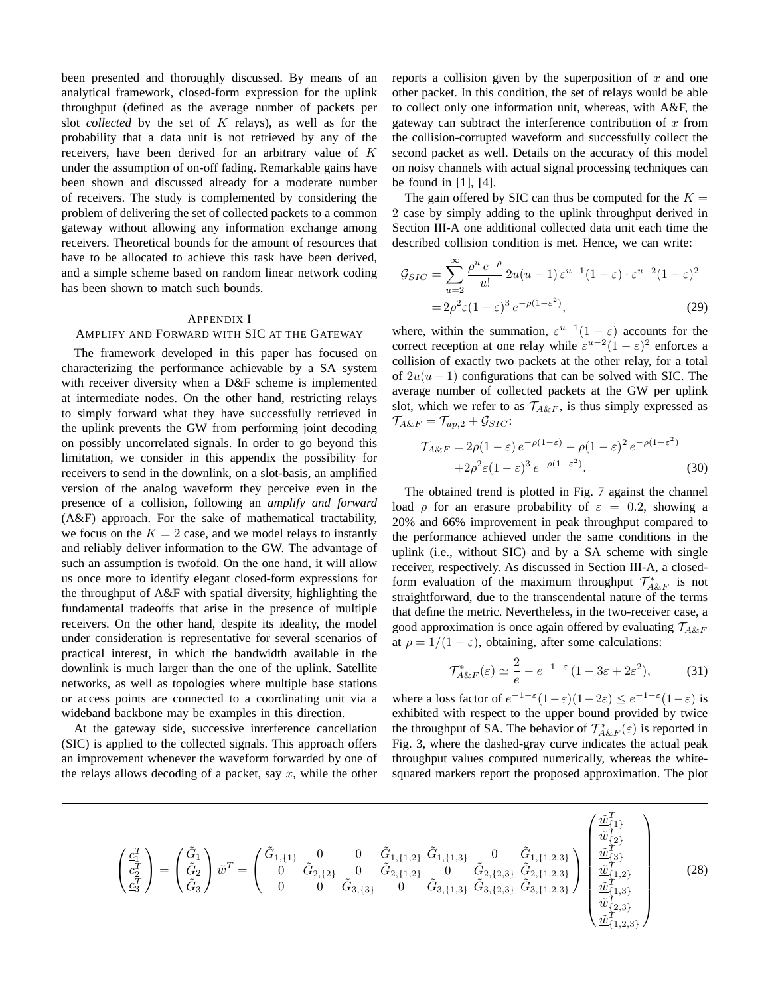been presented and thoroughly discussed. By means of an analytical framework, closed-form expression for the uplink throughput (defined as the average number of packets per slot *collected* by the set of K relays), as well as for the probability that a data unit is not retrieved by any of the receivers, have been derived for an arbitrary value of K under the assumption of on-off fading. Remarkable gains have been shown and discussed already for a moderate number of receivers. The study is complemented by considering the problem of delivering the set of collected packets to a common gateway without allowing any information exchange among receivers. Theoretical bounds for the amount of resources that have to be allocated to achieve this task have been derived, and a simple scheme based on random linear network coding has been shown to match such bounds.

## APPENDIX I

## AMPLIFY AND FORWARD WITH SIC AT THE GATEWAY

The framework developed in this paper has focused on characterizing the performance achievable by a SA system with receiver diversity when a D&F scheme is implemented at intermediate nodes. On the other hand, restricting relays to simply forward what they have successfully retrieved in the uplink prevents the GW from performing joint decoding on possibly uncorrelated signals. In order to go beyond this limitation, we consider in this appendix the possibility for receivers to send in the downlink, on a slot-basis, an amplified version of the analog waveform they perceive even in the presence of a collision, following an *amplify and forward* (A&F) approach. For the sake of mathematical tractability, we focus on the  $K = 2$  case, and we model relays to instantly and reliably deliver information to the GW. The advantage of such an assumption is twofold. On the one hand, it will allow us once more to identify elegant closed-form expressions for the throughput of A&F with spatial diversity, highlighting the fundamental tradeoffs that arise in the presence of multiple receivers. On the other hand, despite its ideality, the model under consideration is representative for several scenarios of practical interest, in which the bandwidth available in the downlink is much larger than the one of the uplink. Satellite networks, as well as topologies where multiple base stations or access points are connected to a coordinating unit via a wideband backbone may be examples in this direction.

At the gateway side, successive interference cancellation (SIC) is applied to the collected signals. This approach offers an improvement whenever the waveform forwarded by one of the relays allows decoding of a packet, say  $x$ , while the other reports a collision given by the superposition of  $x$  and one other packet. In this condition, the set of relays would be able to collect only one information unit, whereas, with A&F, the gateway can subtract the interference contribution of  $x$  from the collision-corrupted waveform and successfully collect the second packet as well. Details on the accuracy of this model on noisy channels with actual signal processing techniques can be found in [1], [4].

The gain offered by SIC can thus be computed for the  $K =$ 2 case by simply adding to the uplink throughput derived in Section III-A one additional collected data unit each time the described collision condition is met. Hence, we can write:

$$
\mathcal{G}_{SIC} = \sum_{u=2}^{\infty} \frac{\rho^u e^{-\rho}}{u!} 2u(u-1) \varepsilon^{u-1} (1-\varepsilon) \cdot \varepsilon^{u-2} (1-\varepsilon)^2
$$

$$
= 2\rho^2 \varepsilon (1-\varepsilon)^3 e^{-\rho(1-\varepsilon^2)}, \tag{29}
$$

where, within the summation,  $\varepsilon^{u-1}(1-\varepsilon)$  accounts for the correct reception at one relay while  $\varepsilon^{u-2}(1-\varepsilon)^2$  enforces a collision of exactly two packets at the other relay, for a total of  $2u(u - 1)$  configurations that can be solved with SIC. The average number of collected packets at the GW per uplink slot, which we refer to as  $\mathcal{T}_{A\&F}$ , is thus simply expressed as  $\mathcal{T}_{A\&F} = \mathcal{T}_{up,2} + \mathcal{G}_{SIC}$ 

$$
\mathcal{T}_{A\&F} = 2\rho(1-\varepsilon) e^{-\rho(1-\varepsilon)} - \rho(1-\varepsilon)^2 e^{-\rho(1-\varepsilon^2)} + 2\rho^2 \varepsilon (1-\varepsilon)^3 e^{-\rho(1-\varepsilon^2)}.
$$
\n(30)

The obtained trend is plotted in Fig. 7 against the channel load  $\rho$  for an erasure probability of  $\varepsilon = 0.2$ , showing a 20% and 66% improvement in peak throughput compared to the performance achieved under the same conditions in the uplink (i.e., without SIC) and by a SA scheme with single receiver, respectively. As discussed in Section III-A, a closedform evaluation of the maximum throughput  $\mathcal{T}_{A\&F}^*$  is not straightforward, due to the transcendental nature of the terms that define the metric. Nevertheless, in the two-receiver case, a good approximation is once again offered by evaluating  $\mathcal{T}_{A\&F}$ at  $\rho = 1/(1 - \varepsilon)$ , obtaining, after some calculations:

$$
\mathcal{T}_{A\&F}^*(\varepsilon) \simeq \frac{2}{e} - e^{-1-\varepsilon} \left( 1 - 3\varepsilon + 2\varepsilon^2 \right),\tag{31}
$$

where a loss factor of  $e^{-1-\epsilon}(1-\epsilon)(1-2\epsilon) \leq e^{-1-\epsilon}(1-\epsilon)$  is exhibited with respect to the upper bound provided by twice the throughput of SA. The behavior of  $\mathcal{T}_{A\&F}^*(\varepsilon)$  is reported in Fig. 3, where the dashed-gray curve indicates the actual peak throughput values computed numerically, whereas the whitesquared markers report the proposed approximation. The plot

$$
\begin{pmatrix}\n\underline{c}_{1}^{T} \\
\underline{c}_{2}^{T} \\
\underline{c}_{3}^{T}\n\end{pmatrix} = \begin{pmatrix}\n\tilde{G}_{1} \\
\tilde{G}_{2} \\
\tilde{G}_{3}\n\end{pmatrix} \underline{\tilde{w}}^{T} = \begin{pmatrix}\n\tilde{G}_{1,\{1\}} & 0 & 0 & \tilde{G}_{1,\{1,2\}} & \tilde{G}_{1,\{1,3\}} & 0 & \tilde{G}_{1,\{1,2,3\}} \\
0 & \tilde{G}_{2,\{2\}} & 0 & \tilde{G}_{2,\{1,2\}} & 0 & \tilde{G}_{2,\{2,3\}} & \tilde{G}_{2,\{1,2,3\}} \\
0 & 0 & \tilde{G}_{3,\{3\}} & 0 & \tilde{G}_{3,\{1,3\}} & \tilde{G}_{3,\{1,3\}} & \tilde{G}_{3,\{1,2,3\}}\n\end{pmatrix} \begin{pmatrix}\n\underline{\tilde{w}}_{1}^{T} \\
\underline{\tilde{w}}_{1}^{T} \\
\underline{\tilde{w}}_{1}^{T} \\
\underline{\tilde{w}}_{1}^{T} \\
\vdots \\
\underline{\tilde{w}}_{1}^{T} \\
\vdots \\
\underline{\tilde{w}}_{1}^{T} \\
\vdots \\
\underline{\tilde{w}}_{1}^{T} \\
\vdots \\
\underline{\tilde{w}}_{1}^{T} \\
\vdots \\
\underline{\tilde{w}}_{1}^{T} \\
\vdots \\
\underline{\tilde{w}}_{1}^{T} \\
\vdots \\
\underline{\tilde{w}}_{1}^{T} \\
\vdots \\
\underline{\tilde{w}}_{1}^{T} \\
\vdots \\
\underline{\tilde{w}}_{1}^{T} \\
\vdots \\
\underline{\tilde{w}}_{1}^{T} \\
\vdots\n\end{pmatrix}
$$
\n(28)